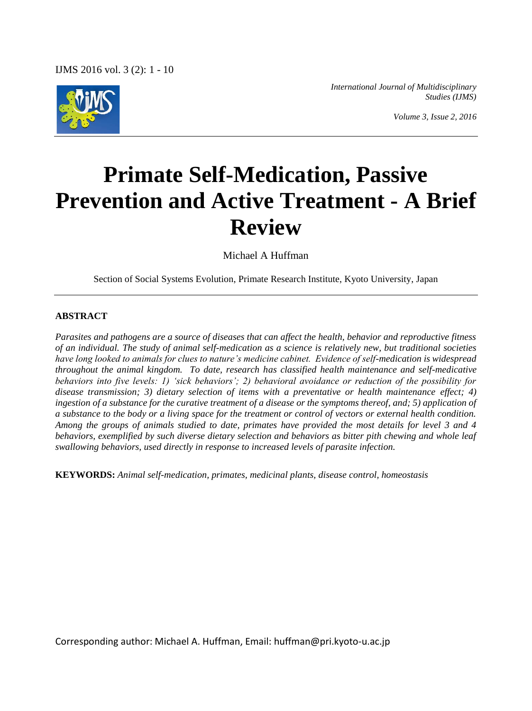IJMS 2016 vol. 3 (2): 1 - 10



*International Journal of Multidisciplinary Studies (IJMS)*

*Volume 3, Issue 2, 2016*

# **Primate Self-Medication, Passive Prevention and Active Treatment - A Brief Review**

Michael A Huffman

Section of Social Systems Evolution, Primate Research Institute, Kyoto University, Japan

#### **ABSTRACT**

*Parasites and pathogens are a source of diseases that can affect the health, behavior and reproductive fitness of an individual. The study of animal self-medication as a science is relatively new, but traditional societies have long looked to animals for clues to nature's medicine cabinet. Evidence of self-medication is widespread throughout the animal kingdom. To date, research has classified health maintenance and self-medicative behaviors into five levels: 1) 'sick behaviors'; 2) behavioral avoidance or reduction of the possibility for disease transmission; 3) dietary selection of items with a preventative or health maintenance effect; 4) ingestion of a substance for the curative treatment of a disease or the symptoms thereof, and; 5) application of a substance to the body or a living space for the treatment or control of vectors or external health condition. Among the groups of animals studied to date, primates have provided the most details for level 3 and 4 behaviors, exemplified by such diverse dietary selection and behaviors as bitter pith chewing and whole leaf swallowing behaviors, used directly in response to increased levels of parasite infection.*

**KEYWORDS:** *Animal self-medication, primates, medicinal plants, disease control, homeostasis*

Corresponding author: Michael A. Huffman, Email: huffman@pri.kyoto-u.ac.jp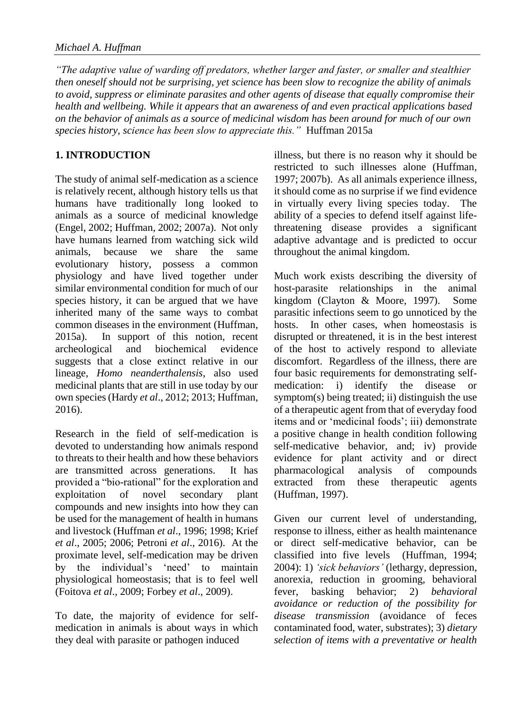*"The adaptive value of warding off predators, whether larger and faster, or smaller and stealthier then oneself should not be surprising, yet science has been slow to recognize the ability of animals to avoid, suppress or eliminate parasites and other agents of disease that equally compromise their health and wellbeing. While it appears that an awareness of and even practical applications based on the behavior of animals as a source of medicinal wisdom has been around for much of our own species history, science has been slow to appreciate this."* Huffman 2015a

# **1. INTRODUCTION**

The study of animal self-medication as a science is relatively recent, although history tells us that humans have traditionally long looked to animals as a source of medicinal knowledge (Engel, 2002; Huffman, 2002; 2007a). Not only have humans learned from watching sick wild animals, because we share the same evolutionary history, possess a common physiology and have lived together under similar environmental condition for much of our species history, it can be argued that we have inherited many of the same ways to combat common diseases in the environment (Huffman, 2015a). In support of this notion, recent archeological and biochemical evidence suggests that a close extinct relative in our lineage, *Homo neanderthalensis*, also used medicinal plants that are still in use today by our own species (Hardy *et al*., 2012; 2013; Huffman, 2016).

Research in the field of self-medication is devoted to understanding how animals respond to threats to their health and how these behaviors are transmitted across generations. It has provided a "bio-rational" for the exploration and exploitation of novel secondary plant compounds and new insights into how they can be used for the management of health in humans and livestock (Huffman *et al*., 1996; 1998; Krief *et al*., 2005; 2006; Petroni *et al*., 2016). At the proximate level, self-medication may be driven by the individual's 'need' to maintain physiological homeostasis; that is to feel well (Foitova *et al*., 2009; Forbey *et al*., 2009).

To date, the majority of evidence for selfmedication in animals is about ways in which they deal with parasite or pathogen induced

illness, but there is no reason why it should be restricted to such illnesses alone (Huffman, 1997; 2007b). As all animals experience illness, it should come as no surprise if we find evidence in virtually every living species today. The ability of a species to defend itself against lifethreatening disease provides a significant adaptive advantage and is predicted to occur throughout the animal kingdom.

Much work exists describing the diversity of host-parasite relationships in the animal kingdom (Clayton & Moore, 1997). Some parasitic infections seem to go unnoticed by the hosts. In other cases, when homeostasis is disrupted or threatened, it is in the best interest of the host to actively respond to alleviate discomfort. Regardless of the illness, there are four basic requirements for demonstrating selfmedication: i) identify the disease or symptom(s) being treated; ii) distinguish the use of a therapeutic agent from that of everyday food items and or 'medicinal foods'; iii) demonstrate a positive change in health condition following self-medicative behavior, and; iv) provide evidence for plant activity and or direct pharmacological analysis of compounds extracted from these therapeutic agents (Huffman, 1997).

Given our current level of understanding, response to illness, either as health maintenance or direct self-medicative behavior, can be classified into five levels (Huffman, 1994; 2004): 1) *'sick behaviors'* (lethargy, depression, anorexia, reduction in grooming, behavioral fever, basking behavior; 2) *behavioral avoidance or reduction of the possibility for disease transmission* (avoidance of feces contaminated food, water, substrates); 3) *dietary selection of items with a preventative or health*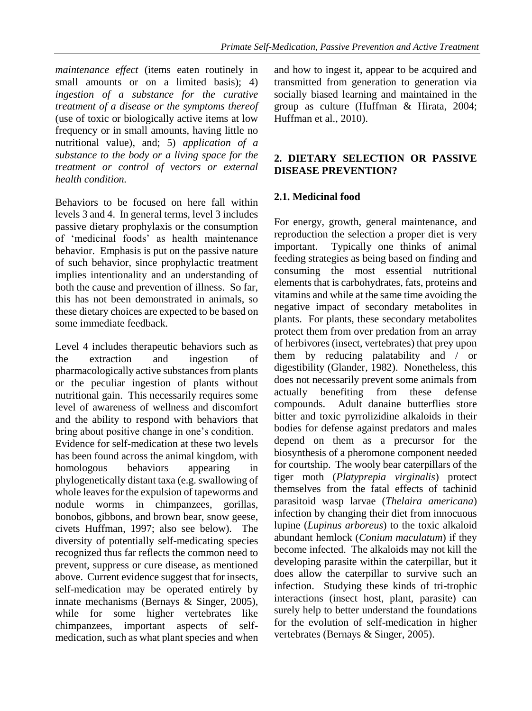*maintenance effect* (items eaten routinely in small amounts or on a limited basis); 4) *ingestion of a substance for the curative treatment of a disease or the symptoms thereof* (use of toxic or biologically active items at low frequency or in small amounts, having little no nutritional value), and; 5) *application of a substance to the body or a living space for the treatment or control of vectors or external health condition.* 

Behaviors to be focused on here fall within levels 3 and 4. In general terms, level 3 includes passive dietary prophylaxis or the consumption of 'medicinal foods' as health maintenance behavior. Emphasis is put on the passive nature of such behavior, since prophylactic treatment implies intentionality and an understanding of both the cause and prevention of illness. So far, this has not been demonstrated in animals, so these dietary choices are expected to be based on some immediate feedback.

Level 4 includes therapeutic behaviors such as the extraction and ingestion of pharmacologically active substances from plants or the peculiar ingestion of plants without nutritional gain. This necessarily requires some level of awareness of wellness and discomfort and the ability to respond with behaviors that bring about positive change in one's condition.

Evidence for self-medication at these two levels has been found across the animal kingdom, with homologous behaviors appearing in phylogenetically distant taxa (e.g. swallowing of whole leaves for the expulsion of tapeworms and nodule worms in chimpanzees, gorillas, bonobos, gibbons, and brown bear, snow geese, civets Huffman, 1997; also see below). The diversity of potentially self-medicating species recognized thus far reflects the common need to prevent, suppress or cure disease, as mentioned above. Current evidence suggest that for insects, self-medication may be operated entirely by innate mechanisms (Bernays & Singer, 2005), while for some higher vertebrates like chimpanzees, important aspects of selfmedication, such as what plant species and when

and how to ingest it, appear to be acquired and transmitted from generation to generation via socially biased learning and maintained in the group as culture (Huffman & Hirata, 2004; Huffman et al., 2010).

## **2. DIETARY SELECTION OR PASSIVE DISEASE PREVENTION?**

## **2.1. Medicinal food**

For energy, growth, general maintenance, and reproduction the selection a proper diet is very important. Typically one thinks of animal feeding strategies as being based on finding and consuming the most essential nutritional elements that is carbohydrates, fats, proteins and vitamins and while at the same time avoiding the negative impact of secondary metabolites in plants. For plants, these secondary metabolites protect them from over predation from an array of herbivores (insect, vertebrates) that prey upon them by reducing palatability and / or digestibility (Glander, 1982). Nonetheless, this does not necessarily prevent some animals from actually benefiting from these defense compounds. Adult danaine butterflies store bitter and toxic pyrrolizidine alkaloids in their bodies for defense against predators and males depend on them as a precursor for the biosynthesis of a pheromone component needed for courtship. The wooly bear caterpillars of the tiger moth (*Platyprepia virginalis*) protect themselves from the fatal effects of tachinid parasitoid wasp larvae (*Thelaira americana*) infection by changing their diet from innocuous lupine (*Lupinus arboreus*) to the toxic alkaloid abundant hemlock (*Conium maculatum*) if they become infected. The alkaloids may not kill the developing parasite within the caterpillar, but it does allow the caterpillar to survive such an infection. Studying these kinds of tri-trophic interactions (insect host, plant, parasite) can surely help to better understand the foundations for the evolution of self-medication in higher vertebrates (Bernays & Singer, 2005).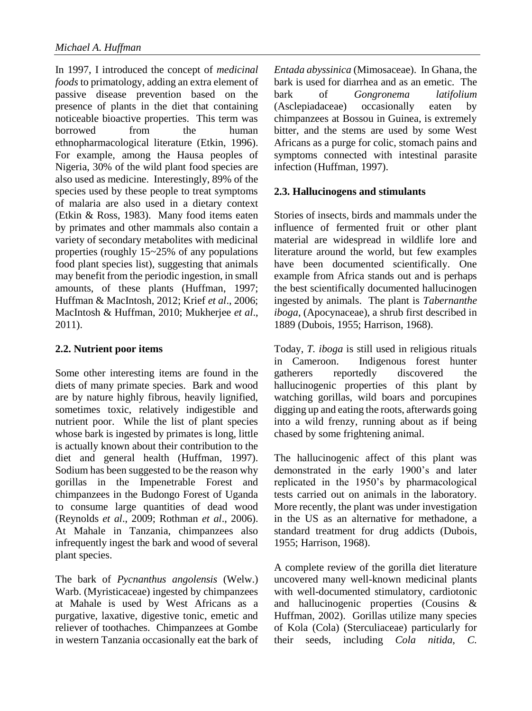In 1997, I introduced the concept of *medicinal foods* to primatology, adding an extra element of passive disease prevention based on the presence of plants in the diet that containing noticeable bioactive properties. This term was borrowed from the human ethnopharmacological literature (Etkin, 1996). For example, among the Hausa peoples of Nigeria, 30% of the wild plant food species are also used as medicine. Interestingly, 89% of the species used by these people to treat symptoms of malaria are also used in a dietary context (Etkin & Ross, 1983). Many food items eaten by primates and other mammals also contain a variety of secondary metabolites with medicinal properties (roughly 15~25% of any populations food plant species list), suggesting that animals may benefit from the periodic ingestion, in small amounts, of these plants (Huffman, 1997; Huffman & MacIntosh, 2012; Krief *et al*., 2006; MacIntosh & Huffman, 2010; Mukherjee *et al*., 2011).

## **2.2. Nutrient poor items**

Some other interesting items are found in the diets of many primate species. Bark and wood are by nature highly fibrous, heavily lignified, sometimes toxic, relatively indigestible and nutrient poor. While the list of plant species whose bark is ingested by primates is long, little is actually known about their contribution to the diet and general health (Huffman, 1997). Sodium has been suggested to be the reason why gorillas in the Impenetrable Forest and chimpanzees in the Budongo Forest of Uganda to consume large quantities of dead wood (Reynolds *et al*., 2009; Rothman *et al*., 2006). At Mahale in Tanzania, chimpanzees also infrequently ingest the bark and wood of several plant species.

The bark of *Pycnanthus angolensis* (Welw.) Warb. (Myristicaceae) ingested by chimpanzees at Mahale is used by West Africans as a purgative, laxative, digestive tonic, emetic and reliever of toothaches. Chimpanzees at Gombe in western Tanzania occasionally eat the bark of *Entada abyssinica* (Mimosaceae). In Ghana, the bark is used for diarrhea and as an emetic. The bark of *Gongronema latifolium* (Asclepiadaceae) occasionally eaten by chimpanzees at Bossou in Guinea, is extremely bitter, and the stems are used by some West Africans as a purge for colic, stomach pains and symptoms connected with intestinal parasite infection (Huffman, 1997).

## **2.3. Hallucinogens and stimulants**

Stories of insects, birds and mammals under the influence of fermented fruit or other plant material are widespread in wildlife lore and literature around the world, but few examples have been documented scientifically. One example from Africa stands out and is perhaps the best scientifically documented hallucinogen ingested by animals. The plant is *Tabernanthe iboga*, (Apocynaceae), a shrub first described in 1889 (Dubois, 1955; Harrison, 1968).

Today, *T. iboga* is still used in religious rituals in Cameroon. Indigenous forest hunter gatherers reportedly discovered the hallucinogenic properties of this plant by watching gorillas, wild boars and porcupines digging up and eating the roots, afterwards going into a wild frenzy, running about as if being chased by some frightening animal.

The hallucinogenic affect of this plant was demonstrated in the early 1900's and later replicated in the 1950's by pharmacological tests carried out on animals in the laboratory. More recently, the plant was under investigation in the US as an alternative for methadone, a standard treatment for drug addicts (Dubois, 1955; Harrison, 1968).

A complete review of the gorilla diet literature uncovered many well-known medicinal plants with well-documented stimulatory, cardiotonic and hallucinogenic properties (Cousins & Huffman, 2002). Gorillas utilize many species of Kola (Cola) (Sterculiaceae) particularly for their seeds, including *Cola nitida, C.*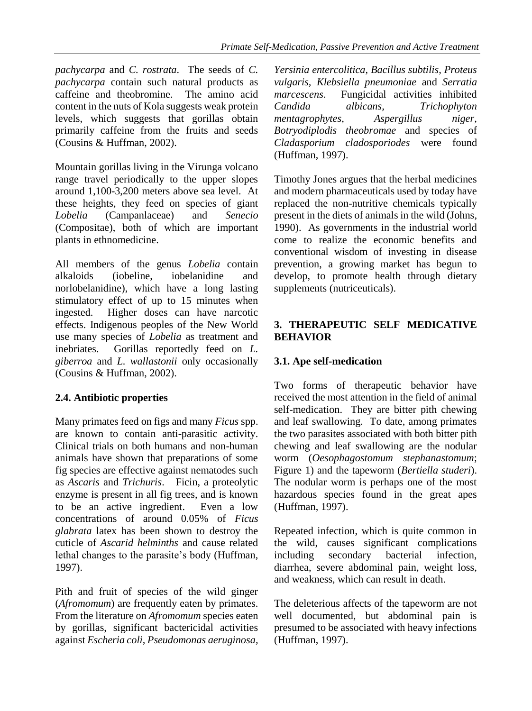*pachycarpa* and *C. rostrata*. The seeds of *C. pachycarpa* contain such natural products as caffeine and theobromine. The amino acid content in the nuts of Kola suggests weak protein levels, which suggests that gorillas obtain primarily caffeine from the fruits and seeds (Cousins & Huffman, 2002).

Mountain gorillas living in the Virunga volcano range travel periodically to the upper slopes around 1,100-3,200 meters above sea level. At these heights, they feed on species of giant *Lobelia* (Campanlaceae) and *Senecio* (Compositae), both of which are important plants in ethnomedicine.

All members of the genus *Lobelia* contain alkaloids (iobeline, iobelanidine and norlobelanidine), which have a long lasting stimulatory effect of up to 15 minutes when ingested. Higher doses can have narcotic effects. Indigenous peoples of the New World use many species of *Lobelia* as treatment and inebriates. Gorillas reportedly feed on *L. giberroa* and *L. wallastonii* only occasionally (Cousins & Huffman, 2002).

## **2.4. Antibiotic properties**

Many primates feed on figs and many *Ficus* spp. are known to contain anti-parasitic activity. Clinical trials on both humans and non-human animals have shown that preparations of some fig species are effective against nematodes such as *Ascaris* and *Trichuris*. Ficin, a proteolytic enzyme is present in all fig trees, and is known to be an active ingredient. Even a low concentrations of around 0.05% of *Ficus glabrata* latex has been shown to destroy the cuticle of *Ascarid helminths* and cause related lethal changes to the parasite's body (Huffman, 1997).

Pith and fruit of species of the wild ginger (*Afromomum*) are frequently eaten by primates. From the literature on *Afromomum* species eaten by gorillas, significant bactericidal activities against *Escheria coli, Pseudomonas aeruginosa,*

*Yersinia entercolitica, Bacillus subtilis, Proteus vulgaris, Klebsiella pneumoniae* and *Serratia marcescens*. Fungicidal activities inhibited *Candida albicans, Trichophyton mentagrophytes, Aspergillus niger, Botryodiplodis theobromae* and species of *Cladasporium cladosporiodes* were found (Huffman, 1997).

Timothy Jones argues that the herbal medicines and modern pharmaceuticals used by today have replaced the non-nutritive chemicals typically present in the diets of animals in the wild (Johns, 1990). As governments in the industrial world come to realize the economic benefits and conventional wisdom of investing in disease prevention, a growing market has begun to develop, to promote health through dietary supplements (nutriceuticals).

#### **3. THERAPEUTIC SELF MEDICATIVE BEHAVIOR**

# **3.1. Ape self-medication**

Two forms of therapeutic behavior have received the most attention in the field of animal self-medication. They are bitter pith chewing and leaf swallowing. To date, among primates the two parasites associated with both bitter pith chewing and leaf swallowing are the nodular worm (*Oesophagostomum stephanastomum*; Figure 1) and the tapeworm (*Bertiella studeri*). The nodular worm is perhaps one of the most hazardous species found in the great apes (Huffman, 1997).

Repeated infection, which is quite common in the wild, causes significant complications including secondary bacterial infection, diarrhea, severe abdominal pain, weight loss, and weakness, which can result in death.

The deleterious affects of the tapeworm are not well documented, but abdominal pain is presumed to be associated with heavy infections (Huffman, 1997).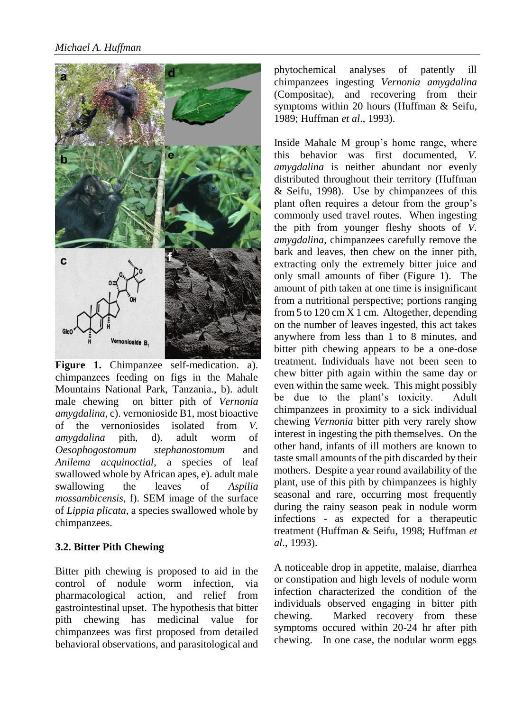

Figure 1. Chimpanzee self-medication. a). chimpanzees feeding on figs in the Mahale Mountains National Park, Tanzania., b). adult male chewing on bitter pith of *Vernonia amygdalina*, c). vernonioside B1, most bioactive of the vernoniosides isolated from *V. amygdalina* pith, d). adult worm of *Oesophogostomum stephanostomum* and *Anilema acquinoctial*, a species of leaf swallowed whole by African apes, e). adult male swallowing the leaves of *Aspilia mossambicensis*, f). SEM image of the surface of *Lippia plicata*, a species swallowed whole by chimpanzees.

## **3.2. Bitter Pith Chewing**

Bitter pith chewing is proposed to aid in the control of nodule worm infection, via pharmacological action, and relief from gastrointestinal upset. The hypothesis that bitter pith chewing has medicinal value for chimpanzees was first proposed from detailed behavioral observations, and parasitological and

phytochemical analyses of patently ill chimpanzees ingesting *Vernonia amygdalina* (Compositae), and recovering from their symptoms within 20 hours (Huffman & Seifu, 1989; Huffman *et al*., 1993).

Inside Mahale M group's home range, where this behavior was first documented, *V. amygdalina* is neither abundant nor evenly distributed throughout their territory (Huffman & Seifu, 1998). Use by chimpanzees of this plant often requires a detour from the group's commonly used travel routes. When ingesting the pith from younger fleshy shoots of *V. amygdalina*, chimpanzees carefully remove the bark and leaves, then chew on the inner pith, extracting only the extremely bitter juice and only small amounts of fiber (Figure 1). The amount of pith taken at one time is insignificant from a nutritional perspective; portions ranging from 5 to  $120 \text{ cm} \times 1 \text{ cm}$ . Altogether, depending on the number of leaves ingested, this act takes anywhere from less than 1 to 8 minutes, and bitter pith chewing appears to be a one-dose treatment. Individuals have not been seen to chew bitter pith again within the same day or even within the same week. This might possibly be due to the plant's toxicity. Adult chimpanzees in proximity to a sick individual chewing *Vernonia* bitter pith very rarely show interest in ingesting the pith themselves. On the other hand, infants of ill mothers are known to taste small amounts of the pith discarded by their mothers. Despite a year round availability of the plant, use of this pith by chimpanzees is highly seasonal and rare, occurring most frequently during the rainy season peak in nodule worm infections - as expected for a therapeutic treatment (Huffman & Seifu, 1998; Huffman *et al*., 1993).

A noticeable drop in appetite, malaise, diarrhea or constipation and high levels of nodule worm infection characterized the condition of the individuals observed engaging in bitter pith chewing. Marked recovery from these symptoms occured within 20-24 hr after pith chewing. In one case, the nodular worm eggs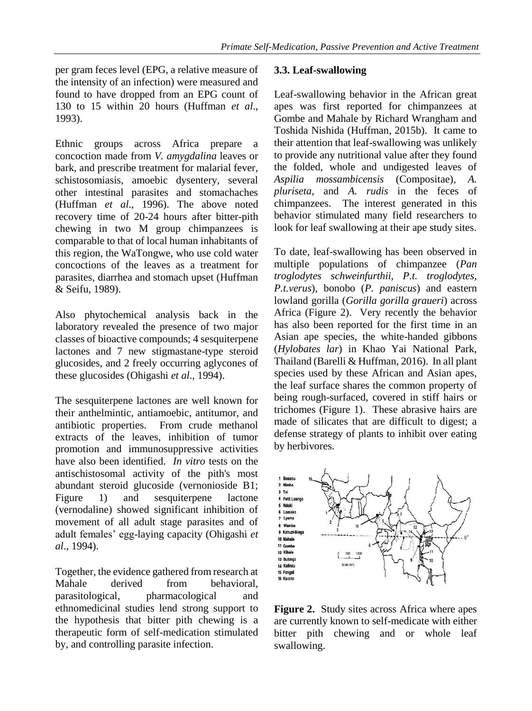per gram feces level (EPG, a relative measure of the intensity of an infection) were measured and found to have dropped from an EPG count of 130 to 15 within 20 hours (Huffman *et al*., 1993).

Ethnic groups across Africa prepare a concoction made from *V. amygdalina* leaves or bark, and prescribe treatment for malarial fever, schistosomiasis, amoebic dysentery, several other intestinal parasites and stomachaches (Huffman *et al*., 1996). The above noted recovery time of 20-24 hours after bitter-pith chewing in two M group chimpanzees is comparable to that of local human inhabitants of this region, the WaTongwe, who use cold water concoctions of the leaves as a treatment for parasites, diarrhea and stomach upset (Huffman & Seifu, 1989).

Also phytochemical analysis back in the laboratory revealed the presence of two major classes of bioactive compounds; 4 sesquiterpene lactones and 7 new stigmastane-type steroid glucosides, and 2 freely occurring aglycones of these glucosides (Ohigashi *et al*., 1994).

The sesquiterpene lactones are well known for their anthelmintic, antiamoebic, antitumor, and antibiotic properties. From crude methanol extracts of the leaves, inhibition of tumor promotion and immunosuppressive activities have also been identified. *In vitro* tests on the antischistosomal activity of the pith's most abundant steroid glucoside (vernonioside B1; Figure 1) and sesquiterpene lactone (vernodaline) showed significant inhibition of movement of all adult stage parasites and of adult females' egg-laying capacity (Ohigashi *et al*., 1994).

Together, the evidence gathered from research at Mahale derived from behavioral, parasitological, pharmacological and ethnomedicinal studies lend strong support to the hypothesis that bitter pith chewing is a therapeutic form of self-medication stimulated by, and controlling parasite infection.

#### **3.3. Leaf-swallowing**

Leaf-swallowing behavior in the African great apes was first reported for chimpanzees at Gombe and Mahale by Richard Wrangham and Toshida Nishida (Huffman, 2015b). It came to their attention that leaf-swallowing was unlikely to provide any nutritional value after they found the folded, whole and undigested leaves of *Aspilia mossambicensis* (Compositae), *A. pluriseta*, and *A. rudis* in the feces of chimpanzees. The interest generated in this behavior stimulated many field researchers to look for leaf swallowing at their ape study sites.

To date, leaf-swallowing has been observed in multiple populations of chimpanzee (*Pan troglodytes schweinfurthii, P.t. troglodytes, P.t.verus*), bonobo (*P. paniscus*) and eastern lowland gorilla (*Gorilla gorilla graueri*) across Africa (Figure 2). Very recently the behavior has also been reported for the first time in an Asian ape species, the white-handed gibbons (*Hylobates lar*) in Khao Yai National Park, Thailand (Barelli & Huffman, 2016). In all plant species used by these African and Asian apes, the leaf surface shares the common property of being rough-surfaced, covered in stiff hairs or trichomes (Figure 1). These abrasive hairs are made of silicates that are difficult to digest; a defense strategy of plants to inhibit over eating by herbivores.



**Figure 2.** Study sites across Africa where apes are currently known to self-medicate with either bitter pith chewing and or whole leaf swallowing.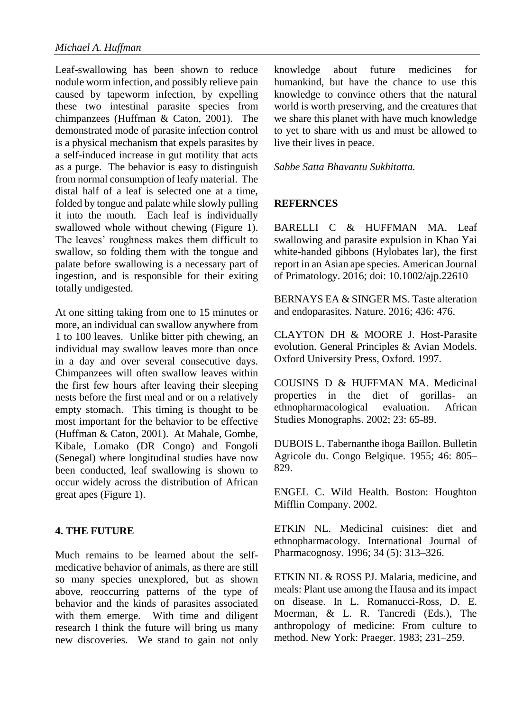Leaf-swallowing has been shown to reduce nodule worm infection, and possibly relieve pain caused by tapeworm infection, by expelling these two intestinal parasite species from chimpanzees (Huffman & Caton, 2001). The demonstrated mode of parasite infection control is a physical mechanism that expels parasites by a self-induced increase in gut motility that acts as a purge. The behavior is easy to distinguish from normal consumption of leafy material. The distal half of a leaf is selected one at a time, folded by tongue and palate while slowly pulling it into the mouth. Each leaf is individually swallowed whole without chewing (Figure 1). The leaves' roughness makes them difficult to swallow, so folding them with the tongue and palate before swallowing is a necessary part of ingestion, and is responsible for their exiting totally undigested.

At one sitting taking from one to 15 minutes or more, an individual can swallow anywhere from 1 to 100 leaves. Unlike bitter pith chewing, an individual may swallow leaves more than once in a day and over several consecutive days. Chimpanzees will often swallow leaves within the first few hours after leaving their sleeping nests before the first meal and or on a relatively empty stomach. This timing is thought to be most important for the behavior to be effective (Huffman & Caton, 2001). At Mahale, Gombe, Kibale, Lomako (DR Congo) and Fongoli (Senegal) where longitudinal studies have now been conducted, leaf swallowing is shown to occur widely across the distribution of African great apes (Figure 1).

## **4. THE FUTURE**

Much remains to be learned about the selfmedicative behavior of animals, as there are still so many species unexplored, but as shown above, reoccurring patterns of the type of behavior and the kinds of parasites associated with them emerge. With time and diligent research I think the future will bring us many new discoveries. We stand to gain not only knowledge about future medicines for humankind, but have the chance to use this knowledge to convince others that the natural world is worth preserving, and the creatures that we share this planet with have much knowledge to yet to share with us and must be allowed to live their lives in peace.

#### *Sabbe Satta Bhavantu Sukhitatta.*

#### **REFERNCES**

BARELLI C & HUFFMAN MA. Leaf swallowing and parasite expulsion in Khao Yai white-handed gibbons (Hylobates lar), the first report in an Asian ape species. American Journal of Primatology. 2016; doi: 10.1002/ajp.22610

BERNAYS EA & SINGER MS. Taste alteration and endoparasites. Nature. 2016; 436: 476.

CLAYTON DH & MOORE J. Host-Parasite evolution. General Principles & Avian Models. Oxford University Press, Oxford. 1997.

COUSINS D & HUFFMAN MA. Medicinal properties in the diet of gorillas- an ethnopharmacological evaluation. African Studies Monographs. 2002; 23: 65-89.

DUBOIS L. Tabernanthe iboga Baillon. Bulletin Agricole du. Congo Belgique. 1955; 46: 805– 829.

ENGEL C. Wild Health. Boston: Houghton Mifflin Company. 2002.

ETKIN NL. Medicinal cuisines: diet and ethnopharmacology. International Journal of Pharmacognosy. 1996; 34 (5): 313–326.

ETKIN NL & ROSS PJ. Malaria, medicine, and meals: Plant use among the Hausa and its impact on disease. In L. Romanucci-Ross, D. E. Moerman, & L. R. Tancredi (Eds.), The anthropology of medicine: From culture to method. New York: Praeger. 1983; 231–259.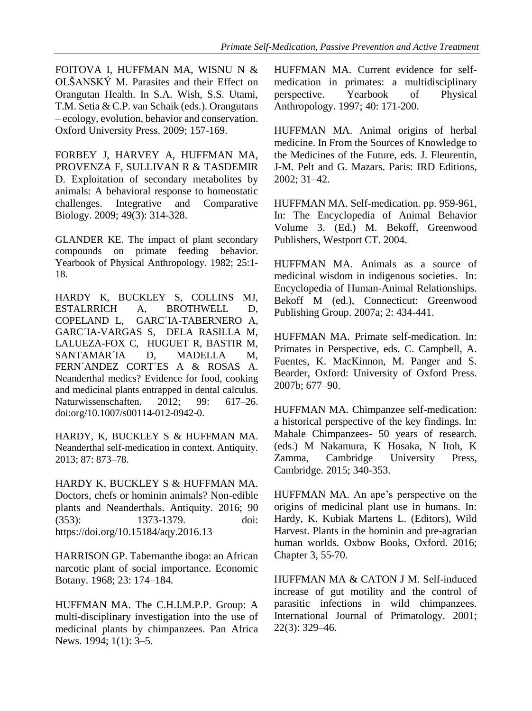FOITOVA I, HUFFMAN MA, WISNU N & OLŠANSKÝ M. Parasites and their Effect on Orangutan Health. In S.A. Wish, S.S. Utami, T.M. Setia & C.P. van Schaik (eds.). Orangutans – ecology, evolution, behavior and conservation. Oxford University Press. 2009; 157-169.

FORBEY J, HARVEY A, HUFFMAN MA, PROVENZA F, SULLIVAN R & TASDEMIR D. Exploitation of secondary metabolites by animals: A behavioral response to homeostatic challenges. Integrative and Comparative Biology. 2009; 49(3): 314-328.

GLANDER KE. The impact of plant secondary compounds on primate feeding behavior. Yearbook of Physical Anthropology. 1982; 25:1- 18.

HARDY K, BUCKLEY S, COLLINS MJ, ESTALRRICH A, BROTHWELL D, COPELAND L, GARC´IA-TABERNERO A, GARC´IA-VARGAS S, DELA RASILLA M, LALUEZA-FOX C, HUGUET R, BASTIR M, SANTAMAR<sup>T</sup>A D, MADELLA M, FERN´ANDEZ CORT<sup>ES</sup> A & ROSAS A. Neanderthal medics? Evidence for food, cooking and medicinal plants entrapped in dental calculus. Naturwissenschaften. 2012; 99: 617–26. doi:org/10.1007/s00114-012-0942-0.

HARDY, K, BUCKLEY S & HUFFMAN MA. Neanderthal self-medication in context. Antiquity. 2013; 87: 873–78.

HARDY K, BUCKLEY S & HUFFMAN MA. Doctors, chefs or hominin animals? Non-edible plants and Neanderthals. Antiquity. 2016; 90 (353): 1373-1379. doi: https://doi.org/10.15184/aqy.2016.13

HARRISON GP. Tabernanthe iboga: an African narcotic plant of social importance. Economic Botany. 1968; 23: 174–184.

HUFFMAN MA. The C.H.I.M.P.P. Group: A multi-disciplinary investigation into the use of medicinal plants by chimpanzees. Pan Africa News. 1994; 1(1): 3–5.

HUFFMAN MA. Current evidence for selfmedication in primates: a multidisciplinary perspective. Yearbook of Physical Anthropology. 1997; 40: 171-200.

HUFFMAN MA. Animal origins of herbal medicine. In From the Sources of Knowledge to the Medicines of the Future, eds. J. Fleurentin, J-M. Pelt and G. Mazars. Paris: IRD Editions, 2002; 31–42.

HUFFMAN MA. Self-medication. pp. 959-961, In: The Encyclopedia of Animal Behavior Volume 3. (Ed.) M. Bekoff, Greenwood Publishers, Westport CT. 2004.

HUFFMAN MA. Animals as a source of medicinal wisdom in indigenous societies. In: Encyclopedia of Human-Animal Relationships. Bekoff M (ed.), Connecticut: Greenwood Publishing Group. 2007a; 2: 434-441.

HUFFMAN MA. Primate self-medication. In: Primates in Perspective, eds. C. Campbell, A. Fuentes, K. MacKinnon, M. Panger and S. Bearder, Oxford: University of Oxford Press. 2007b; 677–90.

HUFFMAN MA. Chimpanzee self-medication: a historical perspective of the key findings. In: Mahale Chimpanzees- 50 years of research. (eds.) M Nakamura, K Hosaka, N Itoh, K Zamma, Cambridge University Press, Cambridge. 2015; 340-353.

HUFFMAN MA. An ape's perspective on the origins of medicinal plant use in humans. In: Hardy, K. Kubiak Martens L. (Editors), Wild Harvest. Plants in the hominin and pre-agrarian human worlds. Oxbow Books, Oxford. 2016; Chapter 3, 55-70.

HUFFMAN MA & CATON J M. Self-induced increase of gut motility and the control of parasitic infections in wild chimpanzees. International Journal of Primatology. 2001; 22(3): 329–46.